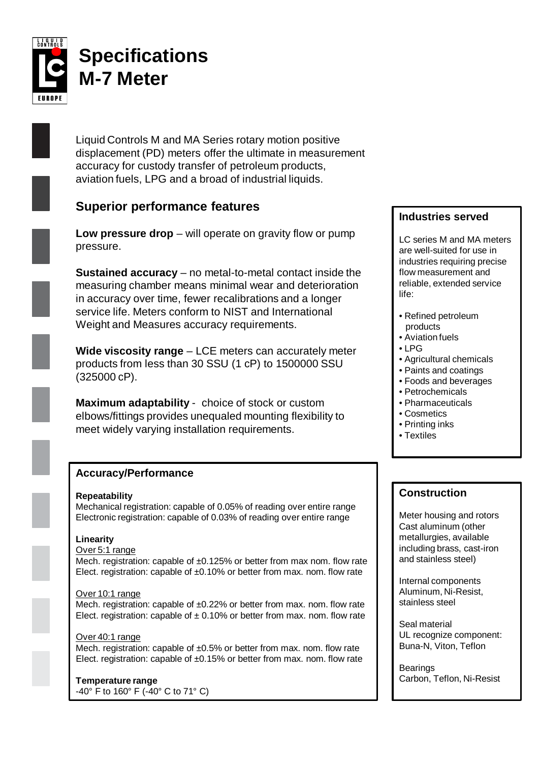

# **Specifications M-7 Meter**

Liquid Controls M and MA Series rotary motion positive displacement (PD) meters offer the ultimate in measurement accuracy for custody transfer of petroleum products, aviation fuels, LPG and a broad of industrial liquids.

# **Superior performance features**

**Low pressure drop** – will operate on gravity flow or pump pressure.

**Sustained accuracy** – no metal-to-metal contact inside the measuring chamber means minimal wear and deterioration in accuracy over time, fewer recalibrations and a longer service life. Meters conform to NIST and International Weight and Measures accuracy requirements.

**Wide viscosity range** – LCE meters can accurately meter products from less than 30 SSU (1 cP) to 1500000 SSU (325000 cP).

**Maximum adaptability** - choice of stock or custom elbows/fittings provides unequaled mounting flexibility to meet widely varying installation requirements.

# **Accuracy/Performance**

#### **Repeatability**

Mechanical registration: capable of 0.05% of reading over entire range Electronic registration: capable of 0.03% of reading over entire range

#### **Linearity**

#### Over 5:1 range

Mech. registration: capable of ±0.125% or better from max nom. flow rate Elect. registration: capable of ±0.10% or better from max. nom. flow rate

#### Over 10:1 range

Mech. registration: capable of  $\pm 0.22\%$  or better from max. nom. flow rate Elect. registration: capable of  $\pm$  0.10% or better from max. nom. flow rate

#### Over 40:1 range

Mech. registration: capable of ±0.5% or better from max. nom. flow rate Elect. registration: capable of  $\pm 0.15\%$  or better from max. nom. flow rate

## **Temperature range**

-40° F to 160° F (-40° C to 71° C)

## **Industries served**

LC series M and MA meters are well-suited for use in industries requiring precise flow measurement and reliable, extended service life:

- Refined petroleum products
- Aviation fuels
- LPG
- Agricultural chemicals
- Paints and coatings
- Foods and beverages
- Petrochemicals
- Pharmaceuticals
- Cosmetics
- Printing inks
- Textiles

# **Construction**

Meter housing and rotors Cast aluminum (other metallurgies, available including brass, cast-iron and stainless steel)

Internal components Aluminum, Ni-Resist, stainless steel

Seal material UL recognize component: Buna-N, Viton, Teflon

Bearings Carbon, Teflon, Ni-Resist